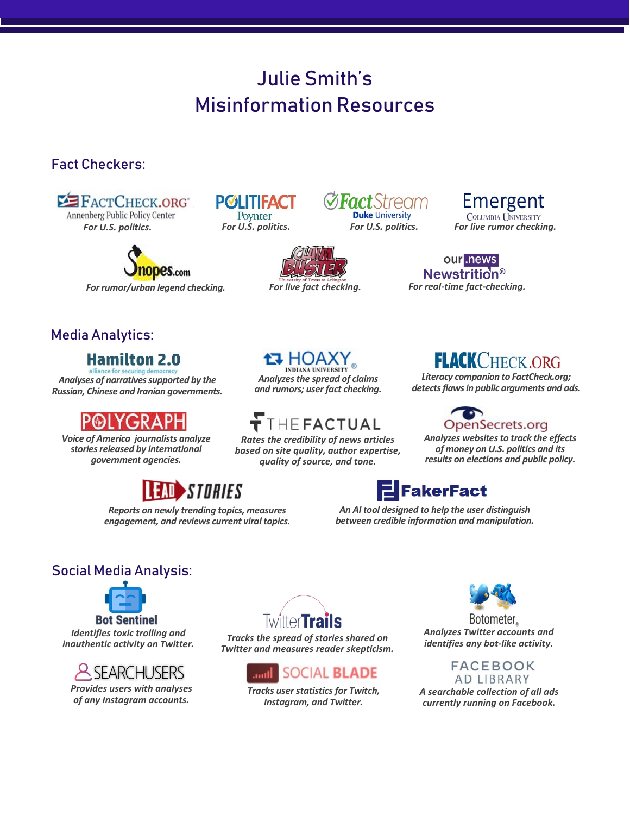# Julie Smith's Misinformation Resources

### Fact Checkers:

**EXECT CHECK.ORG** Annenberg Public Policy Center

*For U.S. politics. For [U.S. politics.](https://www.politifact.com/) For live rumor checking.*

**es.com** 

**POLITIFACT** Poynter



*For rumor/urban legend checking. [For live fact](https://idir.uta.edu/claimbuster/) checking.*

*and rumors; user fact checking.*

*Rates the [credibility of news artic](https://www.thefactual.com/index.html)les based on site quality, author expertise, quality of source, and tone.*

**THEFACTUAL** 

**Duke University** *For U.S. politics.*

Emergent **COLUMBIA UNIVERSITY** 

our .news Newstrition<sup>®</sup> *For real-time fact-checking.*

## Media Analytics:

# **Hamilton 2.0**

*Analyses [of narratives supported](https://securingdemocracy.gmfus.org/hamilton-dashboard/) by the Russian, Chinese and Iranian governments.*

*Voice of America journalists analyze stories released by international government agencies.*

# STORIES

*Reports on newly trending topics, measures engagement, and reviews current viral topics.*

### **AN ANALY**<br>Analyzes the spread of claims **FLACK CHECK.ORG**

*Literacy companion to FactCheck.org; detects flaws in public arguments and ads.*



*Analyzes websites to track the effects of money on U.S. politics and its results on elections and public policy.*

# **FakerFact**

*An AI tool designed to help the user distinguish between credible information and manipulation.*

### Social Media Analysis:



*Identifies toxic trolling and inauthentic activity on Twitter.*



*Provides users with analyses of any Instagram accounts.*



*Tracks the spread of stories shared on Twitter and measures reader skepticism.*



*[Tracks user statistics for](https://socialblade.com/) Twitch, Instagram, and Twitter.*



Botometer. *Analyzes Twitter accounts and identifies any bot-like activity.*

> **FACEBOOK AD LIBRARY**

*A sear[chable collection of al](https://www.facebook.com/ads/library/?active_status=all&ad_type=political_and_issue_ads&country=US)l ads currently running on Facebook.*